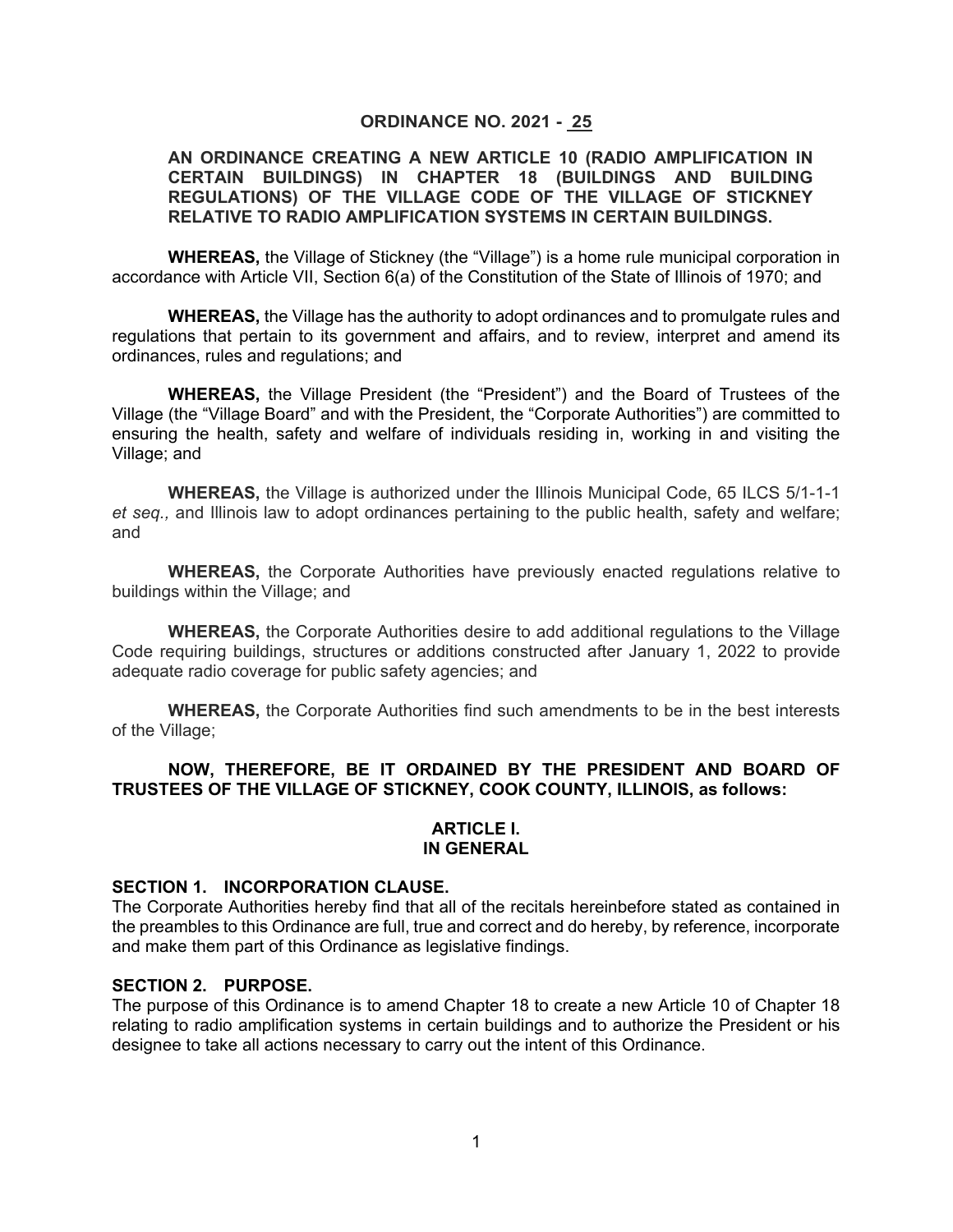#### **ORDINANCE NO. 2021 - 25**

#### **AN ORDINANCE CREATING A NEW ARTICLE 10 (RADIO AMPLIFICATION IN CERTAIN BUILDINGS) IN CHAPTER 18 (BUILDINGS AND BUILDING REGULATIONS) OF THE VILLAGE CODE OF THE VILLAGE OF STICKNEY RELATIVE TO RADIO AMPLIFICATION SYSTEMS IN CERTAIN BUILDINGS.**

**WHEREAS,** the Village of Stickney (the "Village") is a home rule municipal corporation in accordance with Article VII, Section 6(a) of the Constitution of the State of Illinois of 1970; and

**WHEREAS,** the Village has the authority to adopt ordinances and to promulgate rules and regulations that pertain to its government and affairs, and to review, interpret and amend its ordinances, rules and regulations; and

**WHEREAS,** the Village President (the "President") and the Board of Trustees of the Village (the "Village Board" and with the President, the "Corporate Authorities") are committed to ensuring the health, safety and welfare of individuals residing in, working in and visiting the Village; and

**WHEREAS,** the Village is authorized under the Illinois Municipal Code, 65 ILCS 5/1-1-1 *et seq.,* and Illinois law to adopt ordinances pertaining to the public health, safety and welfare; and

**WHEREAS,** the Corporate Authorities have previously enacted regulations relative to buildings within the Village; and

**WHEREAS,** the Corporate Authorities desire to add additional regulations to the Village Code requiring buildings, structures or additions constructed after January 1, 2022 to provide adequate radio coverage for public safety agencies; and

**WHEREAS,** the Corporate Authorities find such amendments to be in the best interests of the Village;

### **NOW, THEREFORE, BE IT ORDAINED BY THE PRESIDENT AND BOARD OF TRUSTEES OF THE VILLAGE OF STICKNEY, COOK COUNTY, ILLINOIS, as follows:**

#### **ARTICLE I. IN GENERAL**

#### **SECTION 1. INCORPORATION CLAUSE.**

The Corporate Authorities hereby find that all of the recitals hereinbefore stated as contained in the preambles to this Ordinance are full, true and correct and do hereby, by reference, incorporate and make them part of this Ordinance as legislative findings.

#### **SECTION 2. PURPOSE.**

The purpose of this Ordinance is to amend Chapter 18 to create a new Article 10 of Chapter 18 relating to radio amplification systems in certain buildings and to authorize the President or his designee to take all actions necessary to carry out the intent of this Ordinance.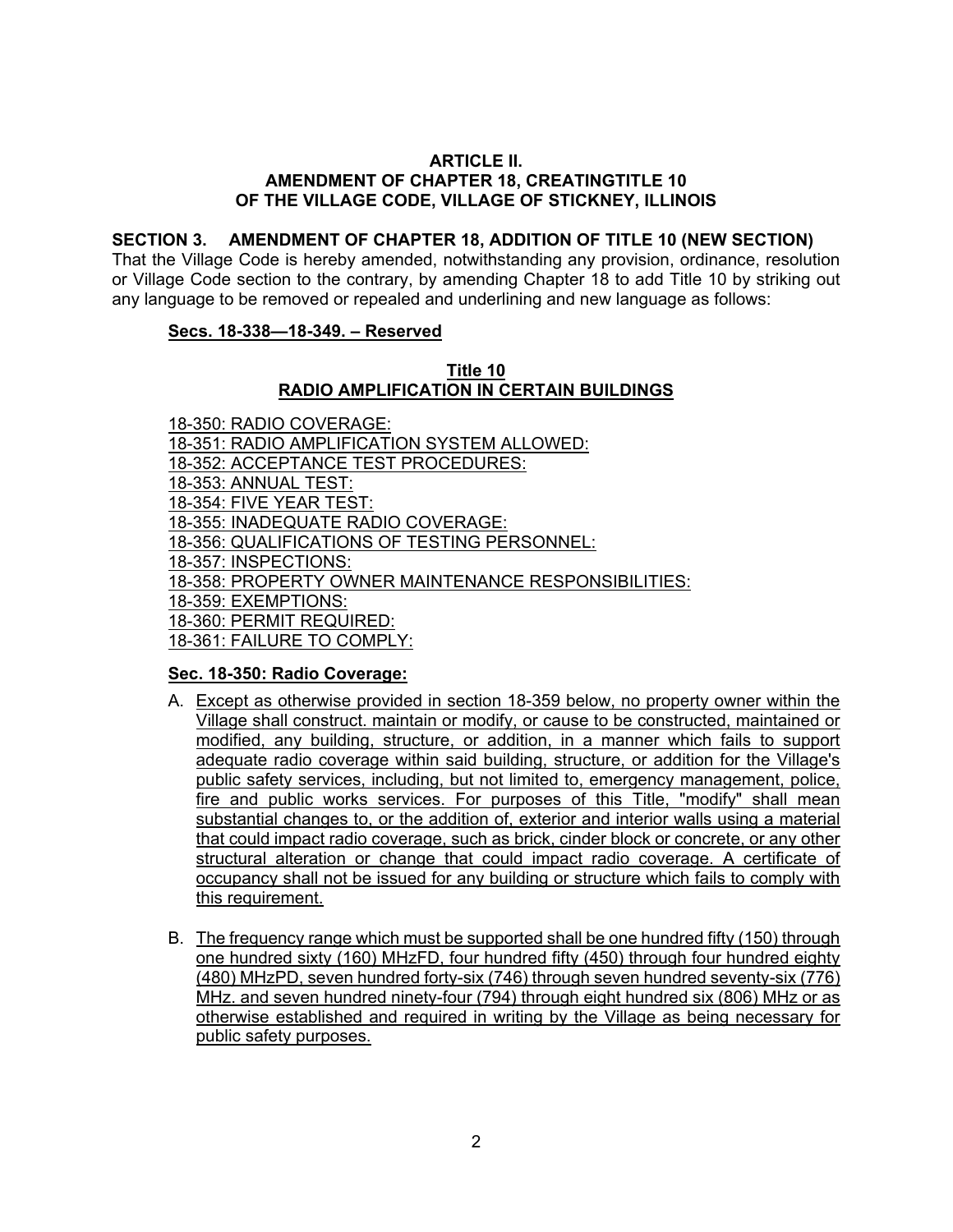#### **ARTICLE II. AMENDMENT OF CHAPTER 18, CREATINGTITLE 10 OF THE VILLAGE CODE, VILLAGE OF STICKNEY, ILLINOIS**

### **SECTION 3. AMENDMENT OF CHAPTER 18, ADDITION OF TITLE 10 (NEW SECTION)**

That the Village Code is hereby amended, notwithstanding any provision, ordinance, resolution or Village Code section to the contrary, by amending Chapter 18 to add Title 10 by striking out any language to be removed or repealed and underlining and new language as follows:

#### **Secs. 18-338—18-349. – Reserved**

#### **Title 10 RADIO AMPLIFICATION IN CERTAIN BUILDINGS**

18-350: RADIO COVERAGE: 18-351: RADIO AMPLIFICATION SYSTEM ALLOWED: 18-352: ACCEPTANCE TEST PROCEDURES: 18-353: ANNUAL TEST: 18-354: FIVE YEAR TEST: 18-355: INADEQUATE RADIO COVERAGE: 18-356: QUALIFICATIONS OF TESTING PERSONNEL: 18-357: INSPECTIONS: 18-358: PROPERTY OWNER MAINTENANCE RESPONSIBILITIES: 18-359: EXEMPTIONS: 18-360: PERMIT REQUIRED: 18-361: FAILURE TO COMPLY:

# **Sec. 18-350: Radio Coverage:**

- A. Except as otherwise provided in section 18-359 below, no property owner within the Village shall construct. maintain or modify, or cause to be constructed, maintained or modified, any building, structure, or addition, in a manner which fails to support adequate radio coverage within said building, structure, or addition for the Village's public safety services, including, but not limited to, emergency management, police, fire and public works services. For purposes of this Title, "modify" shall mean substantial changes to, or the addition of, exterior and interior walls using a material that could impact radio coverage, such as brick, cinder block or concrete, or any other structural alteration or change that could impact radio coverage. A certificate of occupancy shall not be issued for any building or structure which fails to comply with this requirement.
- B. The frequency range which must be supported shall be one hundred fifty (150) through one hundred sixty (160) MHzFD, four hundred fifty (450) through four hundred eighty (480) MHzPD, seven hundred forty-six (746) through seven hundred seventy-six (776) MHz. and seven hundred ninety-four (794) through eight hundred six (806) MHz or as otherwise established and required in writing by the Village as being necessary for public safety purposes.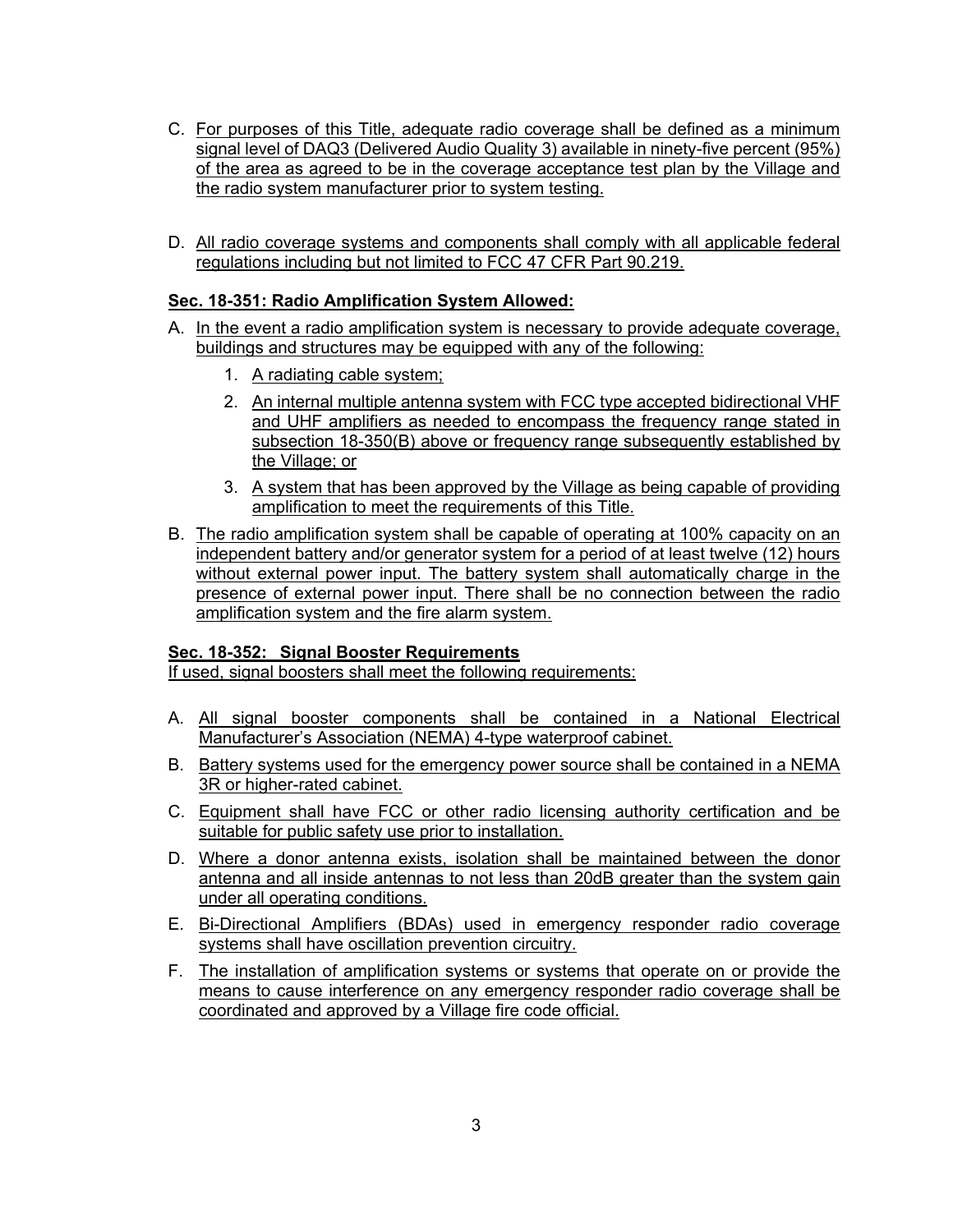- C. For purposes of this Title, adequate radio coverage shall be defined as a minimum signal level of DAQ3 (Delivered Audio Quality 3) available in ninety-five percent (95%) of the area as agreed to be in the coverage acceptance test plan by the Village and the radio system manufacturer prior to system testing.
- D. All radio coverage systems and components shall comply with all applicable federal regulations including but not limited to FCC 47 CFR Part 90.219.

# **Sec. 18-351: Radio Amplification System Allowed:**

- A. In the event a radio amplification system is necessary to provide adequate coverage, buildings and structures may be equipped with any of the following:
	- 1. A radiating cable system;
	- 2. An internal multiple antenna system with FCC type accepted bidirectional VHF and UHF amplifiers as needed to encompass the frequency range stated in subsection 18-350(B) above or frequency range subsequently established by the Village; or
	- 3. A system that has been approved by the Village as being capable of providing amplification to meet the requirements of this Title.
- B. The radio amplification system shall be capable of operating at 100% capacity on an independent battery and/or generator system for a period of at least twelve (12) hours without external power input. The battery system shall automatically charge in the presence of external power input. There shall be no connection between the radio amplification system and the fire alarm system.

# **Sec. 18-352: Signal Booster Requirements**

If used, signal boosters shall meet the following requirements:

- A. All signal booster components shall be contained in a National Electrical Manufacturer's Association (NEMA) 4-type waterproof cabinet.
- B. Battery systems used for the emergency power source shall be contained in a NEMA 3R or higher-rated cabinet.
- C. Equipment shall have FCC or other radio licensing authority certification and be suitable for public safety use prior to installation.
- D. Where a donor antenna exists, isolation shall be maintained between the donor antenna and all inside antennas to not less than 20dB greater than the system gain under all operating conditions.
- E. Bi-Directional Amplifiers (BDAs) used in emergency responder radio coverage systems shall have oscillation prevention circuitry.
- F. The installation of amplification systems or systems that operate on or provide the means to cause interference on any emergency responder radio coverage shall be coordinated and approved by a Village fire code official.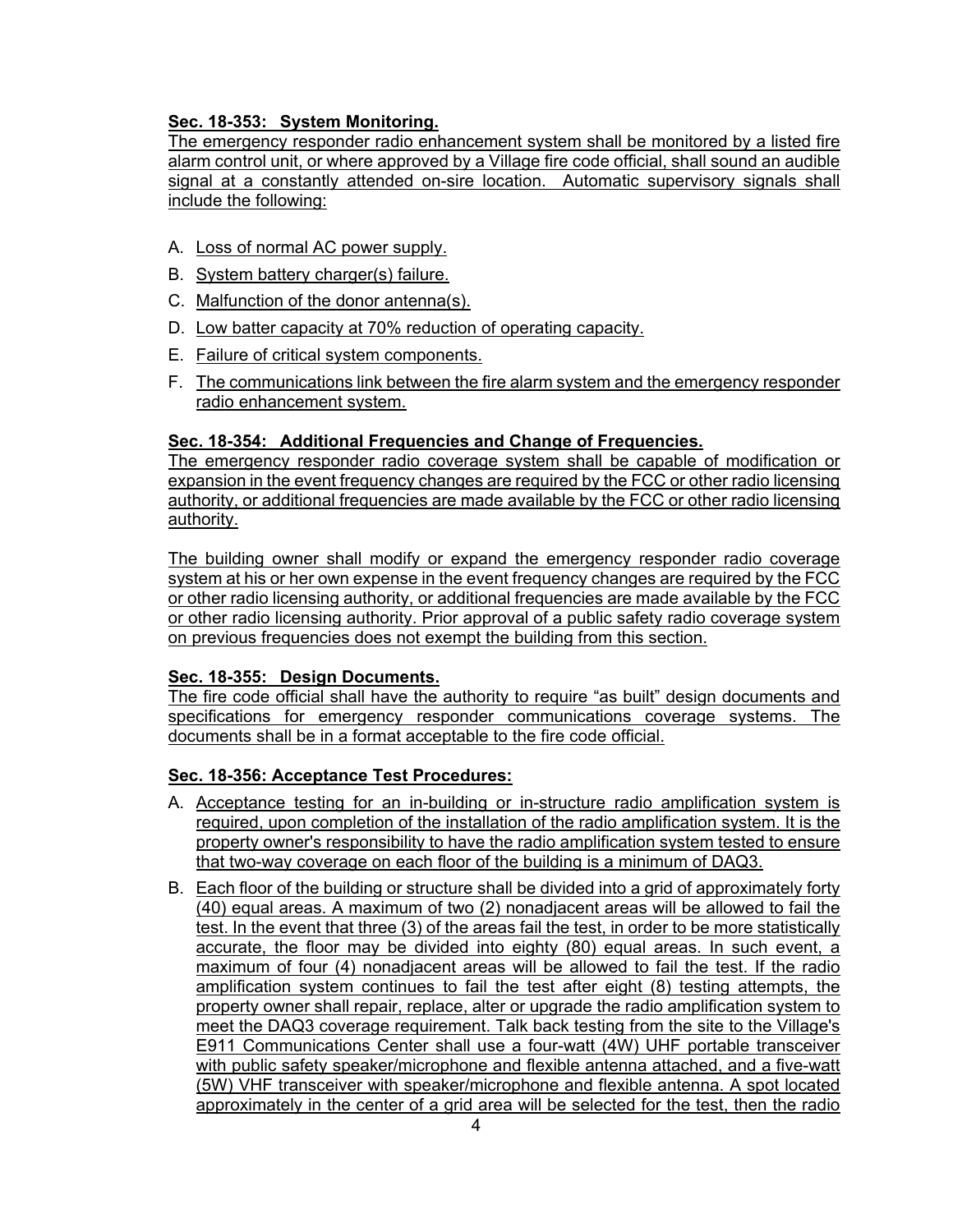# **Sec. 18-353: System Monitoring.**

The emergency responder radio enhancement system shall be monitored by a listed fire alarm control unit, or where approved by a Village fire code official, shall sound an audible signal at a constantly attended on-sire location. Automatic supervisory signals shall include the following:

- A. Loss of normal AC power supply.
- B. System battery charger(s) failure.
- C. Malfunction of the donor antenna(s).
- D. Low batter capacity at 70% reduction of operating capacity.
- E. Failure of critical system components.
- F. The communications link between the fire alarm system and the emergency responder radio enhancement system.

### **Sec. 18-354: Additional Frequencies and Change of Frequencies.**

The emergency responder radio coverage system shall be capable of modification or expansion in the event frequency changes are required by the FCC or other radio licensing authority, or additional frequencies are made available by the FCC or other radio licensing authority.

The building owner shall modify or expand the emergency responder radio coverage system at his or her own expense in the event frequency changes are required by the FCC or other radio licensing authority, or additional frequencies are made available by the FCC or other radio licensing authority. Prior approval of a public safety radio coverage system on previous frequencies does not exempt the building from this section.

#### **Sec. 18-355: Design Documents.**

The fire code official shall have the authority to require "as built" design documents and specifications for emergency responder communications coverage systems. The documents shall be in a format acceptable to the fire code official.

# **Sec. 18-356: Acceptance Test Procedures:**

- A. Acceptance testing for an in-building or in-structure radio amplification system is required, upon completion of the installation of the radio amplification system. It is the property owner's responsibility to have the radio amplification system tested to ensure that two-way coverage on each floor of the building is a minimum of DAQ3.
- B. Each floor of the building or structure shall be divided into a grid of approximately forty (40) equal areas. A maximum of two (2) nonadjacent areas will be allowed to fail the test. In the event that three (3) of the areas fail the test, in order to be more statistically accurate, the floor may be divided into eighty (80) equal areas. In such event, a maximum of four (4) nonadjacent areas will be allowed to fail the test. If the radio amplification system continues to fail the test after eight (8) testing attempts, the property owner shall repair, replace, alter or upgrade the radio amplification system to meet the DAQ3 coverage requirement. Talk back testing from the site to the Village's E911 Communications Center shall use a four-watt (4W) UHF portable transceiver with public safety speaker/microphone and flexible antenna attached, and a five-watt (5W) VHF transceiver with speaker/microphone and flexible antenna. A spot located approximately in the center of a grid area will be selected for the test, then the radio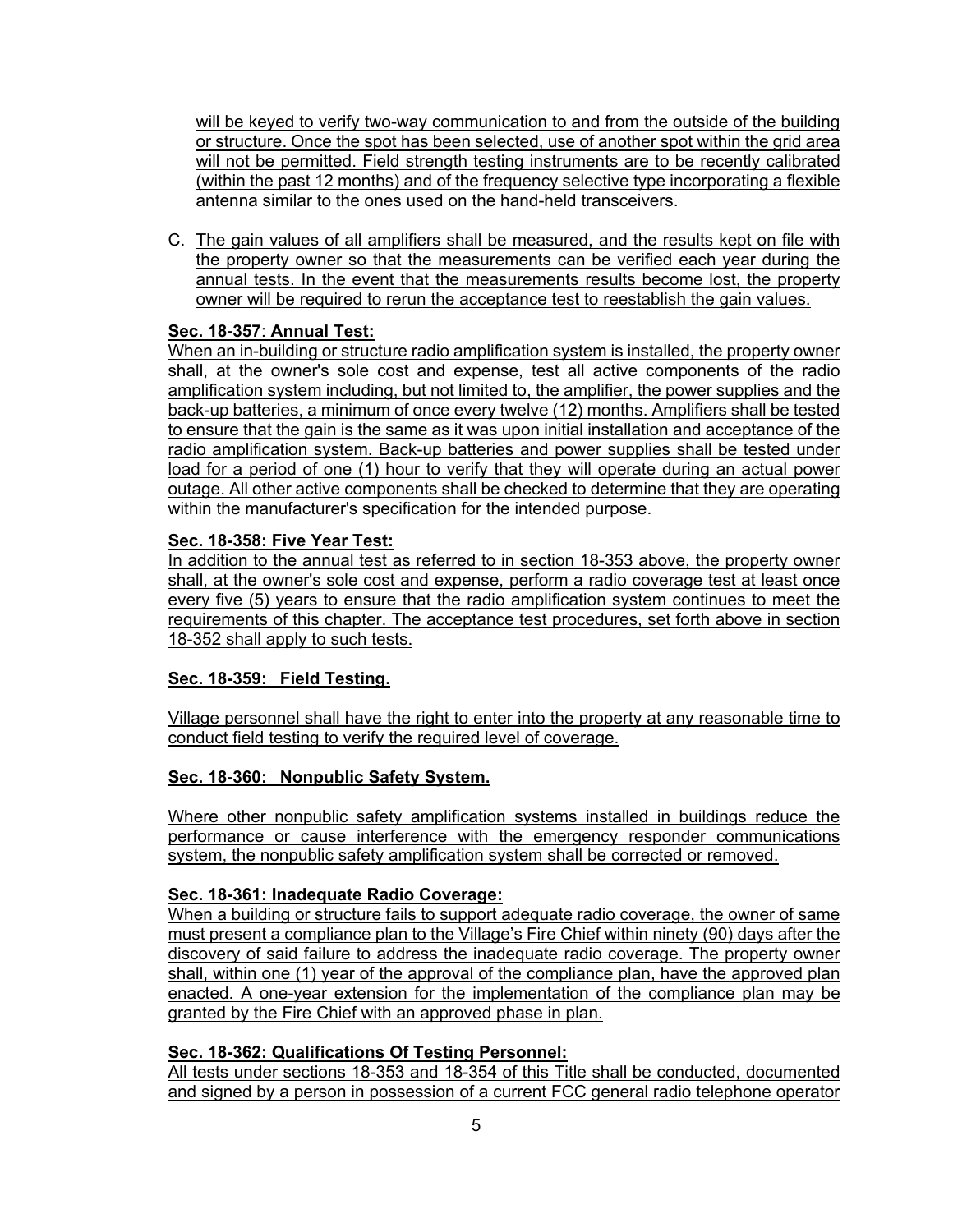will be keyed to verify two-way communication to and from the outside of the building or structure. Once the spot has been selected, use of another spot within the grid area will not be permitted. Field strength testing instruments are to be recently calibrated (within the past 12 months) and of the frequency selective type incorporating a flexible antenna similar to the ones used on the hand-held transceivers.

C. The gain values of all amplifiers shall be measured, and the results kept on file with the property owner so that the measurements can be verified each year during the annual tests. In the event that the measurements results become lost, the property owner will be required to rerun the acceptance test to reestablish the gain values.

# **Sec. 18-357**: **Annual Test:**

When an in-building or structure radio amplification system is installed, the property owner shall, at the owner's sole cost and expense, test all active components of the radio amplification system including, but not limited to, the amplifier, the power supplies and the back-up batteries, a minimum of once every twelve (12) months. Amplifiers shall be tested to ensure that the gain is the same as it was upon initial installation and acceptance of the radio amplification system. Back-up batteries and power supplies shall be tested under load for a period of one (1) hour to verify that they will operate during an actual power outage. All other active components shall be checked to determine that they are operating within the manufacturer's specification for the intended purpose.

# **Sec. 18-358: Five Year Test:**

In addition to the annual test as referred to in section 18-353 above, the property owner shall, at the owner's sole cost and expense, perform a radio coverage test at least once every five (5) years to ensure that the radio amplification system continues to meet the requirements of this chapter. The acceptance test procedures, set forth above in section 18-352 shall apply to such tests.

# **Sec. 18-359: Field Testing.**

Village personnel shall have the right to enter into the property at any reasonable time to conduct field testing to verify the required level of coverage.

# **Sec. 18-360: Nonpublic Safety System.**

Where other nonpublic safety amplification systems installed in buildings reduce the performance or cause interference with the emergency responder communications system, the nonpublic safety amplification system shall be corrected or removed.

# **Sec. 18-361: Inadequate Radio Coverage:**

When a building or structure fails to support adequate radio coverage, the owner of same must present a compliance plan to the Village's Fire Chief within ninety (90) days after the discovery of said failure to address the inadequate radio coverage. The property owner shall, within one (1) year of the approval of the compliance plan, have the approved plan enacted. A one-year extension for the implementation of the compliance plan may be granted by the Fire Chief with an approved phase in plan.

# **Sec. 18-362: Qualifications Of Testing Personnel:**

All tests under sections 18-353 and 18-354 of this Title shall be conducted, documented and signed by a person in possession of a current FCC general radio telephone operator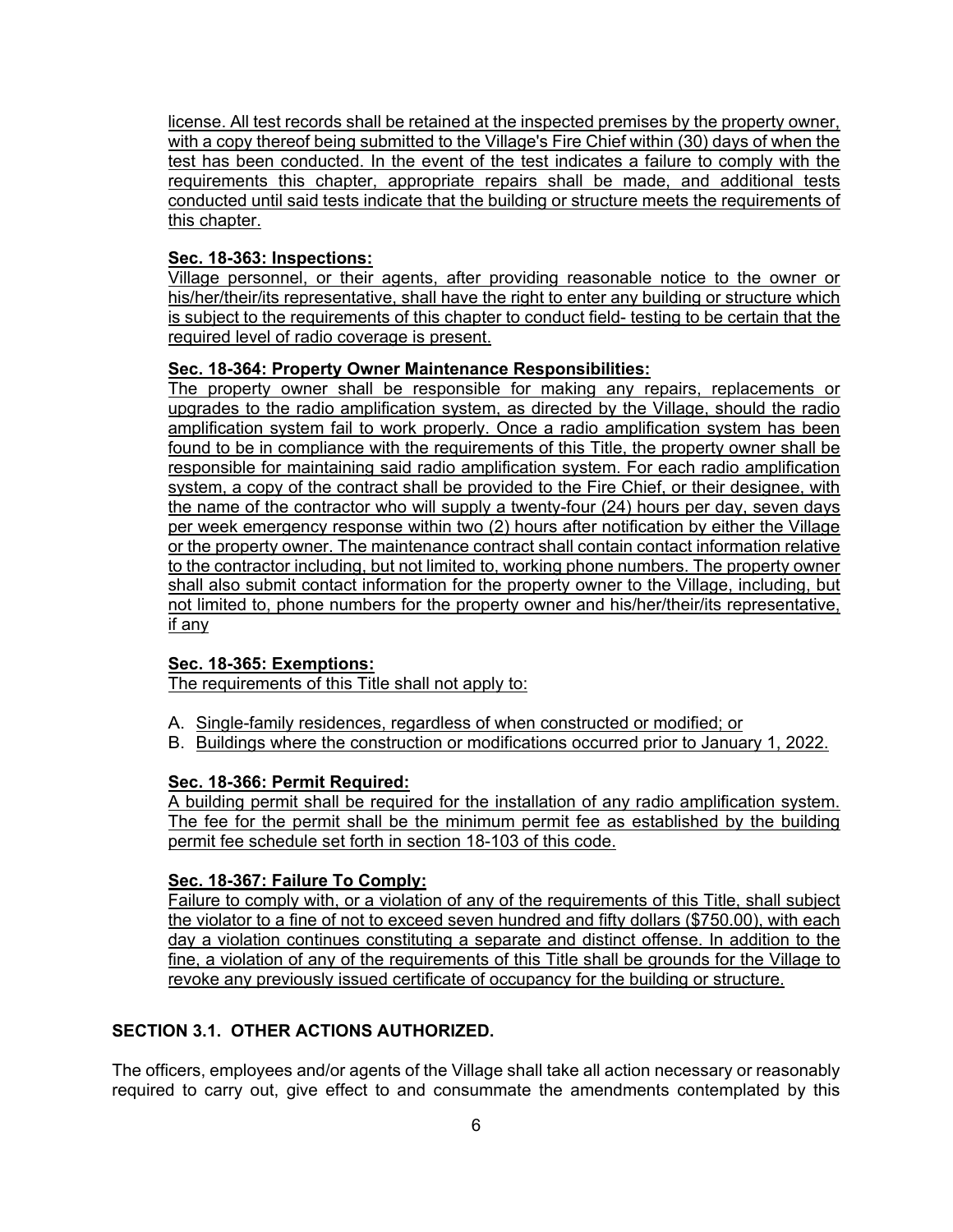license. All test records shall be retained at the inspected premises by the property owner, with a copy thereof being submitted to the Village's Fire Chief within (30) days of when the test has been conducted. In the event of the test indicates a failure to comply with the requirements this chapter, appropriate repairs shall be made, and additional tests conducted until said tests indicate that the building or structure meets the requirements of this chapter.

### **Sec. 18-363: Inspections:**

Village personnel, or their agents, after providing reasonable notice to the owner or his/her/their/its representative, shall have the right to enter any building or structure which is subject to the requirements of this chapter to conduct field- testing to be certain that the required level of radio coverage is present.

### **Sec. 18-364: Property Owner Maintenance Responsibilities:**

The property owner shall be responsible for making any repairs, replacements or upgrades to the radio amplification system, as directed by the Village, should the radio amplification system fail to work properly. Once a radio amplification system has been found to be in compliance with the requirements of this Title, the property owner shall be responsible for maintaining said radio amplification system. For each radio amplification system, a copy of the contract shall be provided to the Fire Chief, or their designee, with the name of the contractor who will supply a twenty-four (24) hours per day, seven days per week emergency response within two (2) hours after notification by either the Village or the property owner. The maintenance contract shall contain contact information relative to the contractor including, but not limited to, working phone numbers. The property owner shall also submit contact information for the property owner to the Village, including, but not limited to, phone numbers for the property owner and his/her/their/its representative, if any

# **Sec. 18-365: Exemptions:**

The requirements of this Title shall not apply to:

- A. Single-family residences, regardless of when constructed or modified; or
- B. Buildings where the construction or modifications occurred prior to January 1, 2022.

# **Sec. 18-366: Permit Required:**

A building permit shall be required for the installation of any radio amplification system. The fee for the permit shall be the minimum permit fee as established by the building permit fee schedule set forth in section 18-103 of this code.

#### **Sec. 18-367: Failure To Comply:**

Failure to comply with, or a violation of any of the requirements of this Title, shall subject the violator to a fine of not to exceed seven hundred and fifty dollars (\$750.00), with each day a violation continues constituting a separate and distinct offense. In addition to the fine, a violation of any of the requirements of this Title shall be grounds for the Village to revoke any previously issued certificate of occupancy for the building or structure.

# **SECTION 3.1. OTHER ACTIONS AUTHORIZED.**

The officers, employees and/or agents of the Village shall take all action necessary or reasonably required to carry out, give effect to and consummate the amendments contemplated by this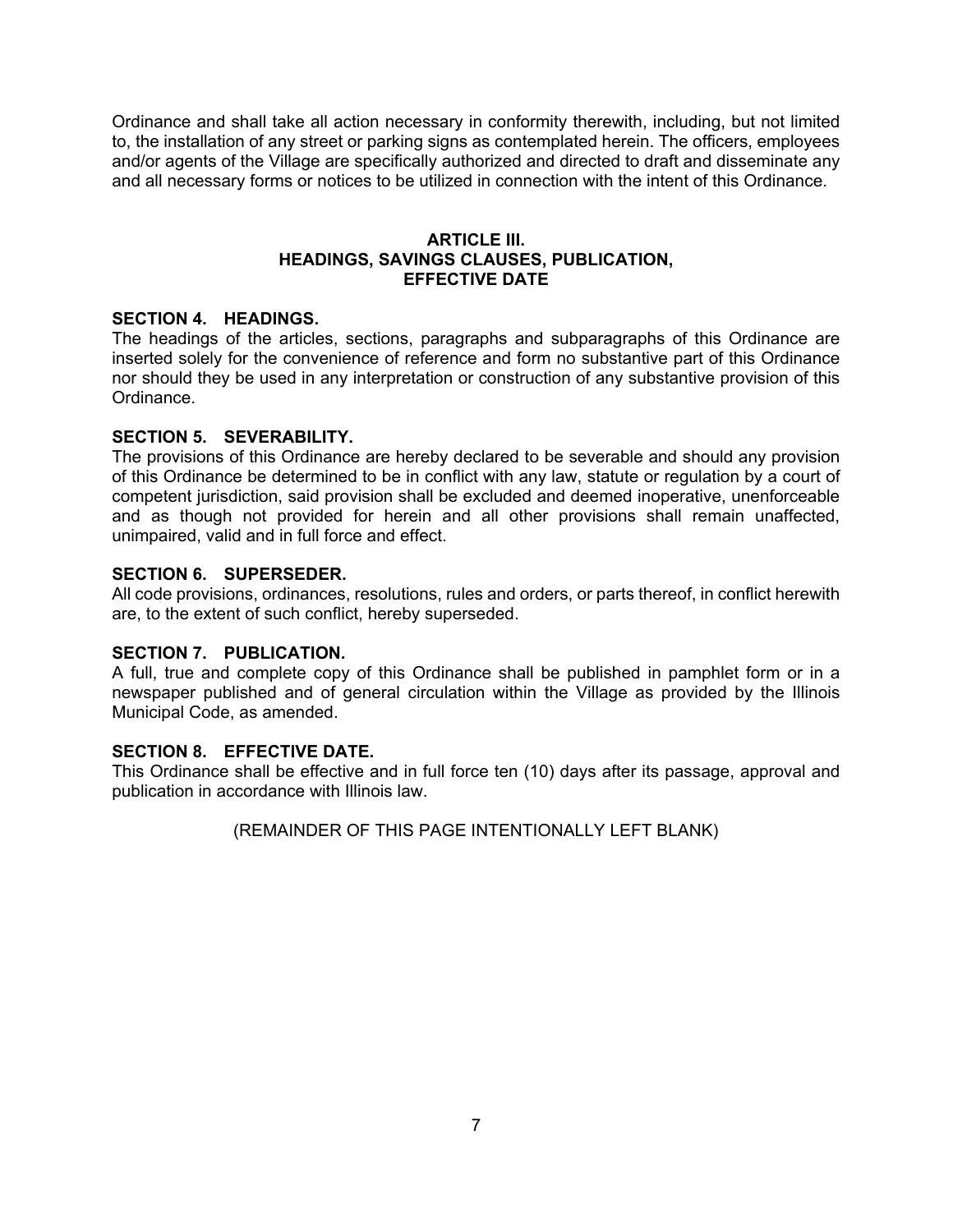Ordinance and shall take all action necessary in conformity therewith, including, but not limited to, the installation of any street or parking signs as contemplated herein. The officers, employees and/or agents of the Village are specifically authorized and directed to draft and disseminate any and all necessary forms or notices to be utilized in connection with the intent of this Ordinance.

#### **ARTICLE III. HEADINGS, SAVINGS CLAUSES, PUBLICATION, EFFECTIVE DATE**

### **SECTION 4. HEADINGS.**

The headings of the articles, sections, paragraphs and subparagraphs of this Ordinance are inserted solely for the convenience of reference and form no substantive part of this Ordinance nor should they be used in any interpretation or construction of any substantive provision of this Ordinance.

### **SECTION 5. SEVERABILITY.**

The provisions of this Ordinance are hereby declared to be severable and should any provision of this Ordinance be determined to be in conflict with any law, statute or regulation by a court of competent jurisdiction, said provision shall be excluded and deemed inoperative, unenforceable and as though not provided for herein and all other provisions shall remain unaffected, unimpaired, valid and in full force and effect.

### **SECTION 6. SUPERSEDER.**

All code provisions, ordinances, resolutions, rules and orders, or parts thereof, in conflict herewith are, to the extent of such conflict, hereby superseded.

#### **SECTION 7. PUBLICATION.**

A full, true and complete copy of this Ordinance shall be published in pamphlet form or in a newspaper published and of general circulation within the Village as provided by the Illinois Municipal Code, as amended.

#### **SECTION 8. EFFECTIVE DATE.**

This Ordinance shall be effective and in full force ten (10) days after its passage, approval and publication in accordance with Illinois law.

(REMAINDER OF THIS PAGE INTENTIONALLY LEFT BLANK)